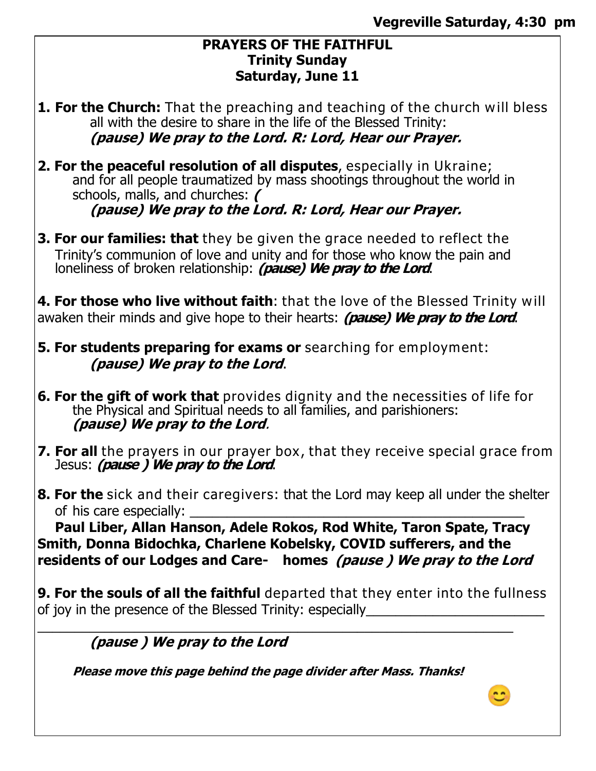#### **PRAYERS OF THE FAITHFUL Trinity Sunday Saturday, June 11**

- **1. For the Church:** That the preaching and teaching of the church will bless all with the desire to share in the life of the Blessed Trinity: **(pause) We pray to the Lord. R: Lord, Hear our Prayer.**
- **2. For the peaceful resolution of all disputes**, especially in Ukraine; and for all people traumatized by mass shootings throughout the world in schools, malls, and churches: **( (pause) We pray to the Lord. R: Lord, Hear our Prayer.**
- **3. For our families: that** they be given the grace needed to reflect the Trinity's communion of love and unity and for those who know the pain and loneliness of broken relationship: **(pause) We pray to the Lord**.

**4. For those who live without faith**: that the love of the Blessed Trinity will awaken their minds and give hope to their hearts: **(pause) We pray to the Lord**.

- **5. For students preparing for exams or** searching for employment: **(pause) We pray to the Lord**.
- **6. For the gift of work that** provides dignity and the necessities of life for the Physical and Spiritual needs to all families, and parishioners: **(pause) We pray to the Lord**.
- **7. For all** the prayers in our prayer box, that they receive special grace from Jesus: **(pause ) We pray to the Lord**.
- **8. For the** sick and their caregivers: that the Lord may keep all under the shelter of his care especially:

**Paul Liber, Allan Hanson, Adele Rokos, Rod White, Taron Spate, Tracy Smith, Donna Bidochka, Charlene Kobelsky, COVID sufferers, and the residents of our Lodges and Care- homes (pause ) We pray to the Lord** 

**9. For the souls of all the faithful** departed that they enter into the fullness of joy in the presence of the Blessed Trinity: especially

 $\_$  , and the set of the set of the set of the set of the set of the set of the set of the set of the set of the set of the set of the set of the set of the set of the set of the set of the set of the set of the set of th **(pause ) We pray to the Lord** 

**Please move this page behind the page divider after Mass. Thanks!** 

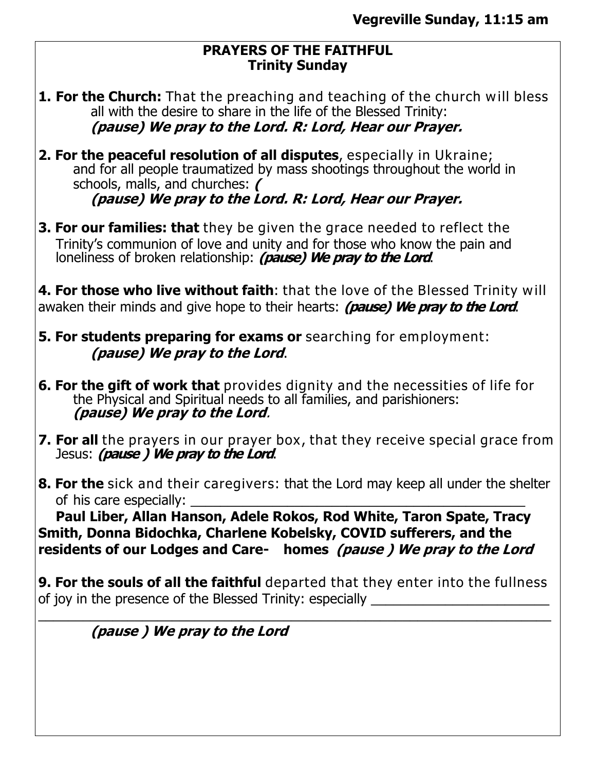### **PRAYERS OF THE FAITHFUL Trinity Sunday**

- **1. For the Church:** That the preaching and teaching of the church will bless all with the desire to share in the life of the Blessed Trinity: **(pause) We pray to the Lord. R: Lord, Hear our Prayer.**
- **2. For the peaceful resolution of all disputes**, especially in Ukraine; and for all people traumatized by mass shootings throughout the world in schools, malls, and churches: **( (pause) We pray to the Lord. R: Lord, Hear our Prayer.**
- **3. For our families: that** they be given the grace needed to reflect the Trinity's communion of love and unity and for those who know the pain and loneliness of broken relationship: *(pause) We pray to the Lord*.

**4. For those who live without faith**: that the love of the Blessed Trinity will awaken their minds and give hope to their hearts: **(pause) We pray to the Lord**.

**5. For students preparing for exams or** searching for employment: **(pause) We pray to the Lord**.

- **6. For the gift of work that** provides dignity and the necessities of life for the Physical and Spiritual needs to all families, and parishioners: **(pause) We pray to the Lord**.
- **7. For all** the prayers in our prayer box, that they receive special grace from Jesus: **(pause ) We pray to the Lord**.
- **8. For the** sick and their caregivers: that the Lord may keep all under the shelter of his care especially:

**Paul Liber, Allan Hanson, Adele Rokos, Rod White, Taron Spate, Tracy Smith, Donna Bidochka, Charlene Kobelsky, COVID sufferers, and the residents of our Lodges and Care- homes (pause ) We pray to the Lord** 

**9. For the souls of all the faithful** departed that they enter into the fullness of joy in the presence of the Blessed Trinity: especially

\_\_\_\_\_\_\_\_\_\_\_\_\_\_\_\_\_\_\_\_\_\_\_\_\_\_\_\_\_\_\_\_\_\_\_\_\_\_\_\_\_\_\_\_\_\_\_\_\_\_\_\_\_\_\_\_\_\_\_\_\_\_\_\_\_\_\_\_\_

**(pause ) We pray to the Lord**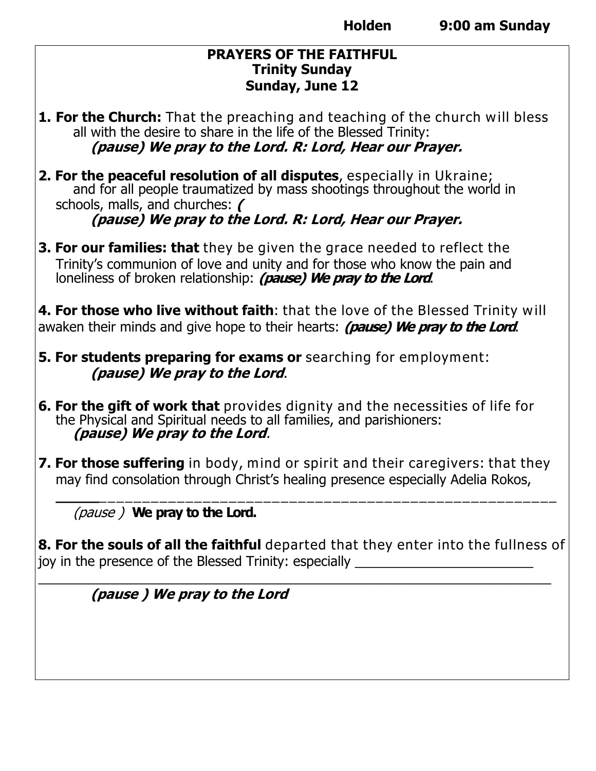#### **PRAYERS OF THE FAITHFUL Trinity Sunday Sunday, June 12**

- **1. For the Church:** That the preaching and teaching of the church will bless all with the desire to share in the life of the Blessed Trinity: **(pause) We pray to the Lord. R: Lord, Hear our Prayer.**
- **2. For the peaceful resolution of all disputes**, especially in Ukraine; and for all people traumatized by mass shootings throughout the world in schools, malls, and churches: **( (pause) We pray to the Lord. R: Lord, Hear our Prayer.**
- **3. For our families: that** they be given the grace needed to reflect the Trinity's communion of love and unity and for those who know the pain and loneliness of broken relationship: **(pause) We pray to the Lord**.

**4. For those who live without faith**: that the love of the Blessed Trinity will awaken their minds and give hope to their hearts: **(pause) We pray to the Lord**.

- **5. For students preparing for exams or** searching for employment: **(pause) We pray to the Lord**.
- **6. For the gift of work that** provides dignity and the necessities of life for the Physical and Spiritual needs to all families, and parishioners: **(pause) We pray to the Lord**.
- **7. For those suffering** in body, mind or spirit and their caregivers: that they may find consolation through Christ's healing presence especially Adelia Rokos,

(pause ) **We pray to the Lord.**

**8. For the souls of all the faithful** departed that they enter into the fullness of joy in the presence of the Blessed Trinity: especially

 $\_$  , and the set of the set of the set of the set of the set of the set of the set of the set of the set of the set of the set of the set of the set of the set of the set of the set of the set of the set of the set of th

**\_\_\_\_\_**\_\_\_\_\_\_\_\_\_\_\_\_\_\_\_\_\_\_\_\_\_\_\_\_\_\_\_\_\_\_\_\_\_\_\_\_\_\_\_\_\_\_\_\_\_\_\_\_\_\_\_\_\_

**(pause ) We pray to the Lord**